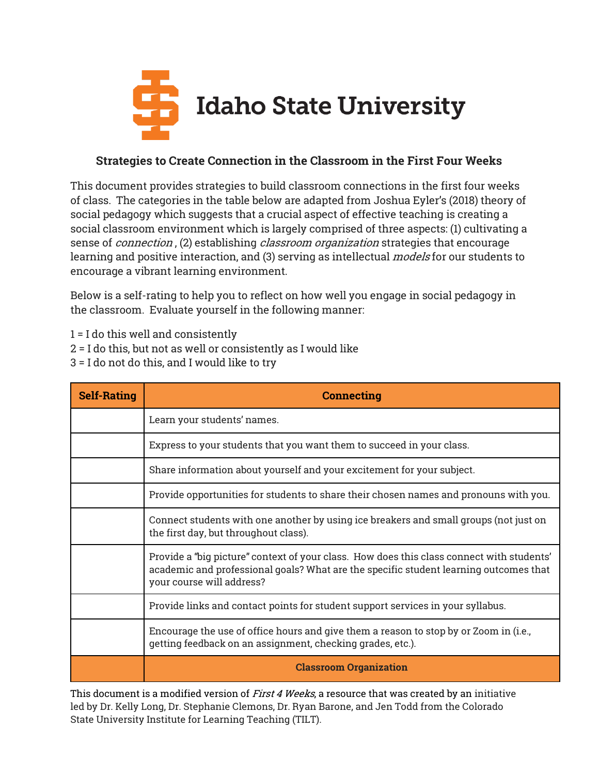

## Strategies to Create Connection in the Classroom in the First Four Weeks

This document provides strategies to build classroom connections in the first four weeks of class. The categories in the table below are adapted from Joshua Eyler's (2018) theory of social pedagogy which suggests that a crucial aspect of effective teaching is creating a social classroom environment which is largely comprised of three aspects: (1) cultivating a sense of *connection*, (2) establishing *classroom organization* strategies that encourage learning and positive interaction, and (3) serving as intellectual *models* for our students to encourage a vibrant learning environment.

Below is a self-rating to help you to reflect on how well you engage in social pedagogy in the classroom. Evaluate yourself in the following manner:

1 = I do this well and consistently

- 2 = I do this, but not as well or consistently as I would like
- 3 = I do not do this, and I would like to try

| <b>Self-Rating</b> | <b>Connecting</b>                                                                                                                                                                                               |
|--------------------|-----------------------------------------------------------------------------------------------------------------------------------------------------------------------------------------------------------------|
|                    | Learn your students' names.                                                                                                                                                                                     |
|                    | Express to your students that you want them to succeed in your class.                                                                                                                                           |
|                    | Share information about yourself and your excitement for your subject.                                                                                                                                          |
|                    | Provide opportunities for students to share their chosen names and pronouns with you.                                                                                                                           |
|                    | Connect students with one another by using ice breakers and small groups (not just on<br>the first day, but throughout class).                                                                                  |
|                    | Provide a "big picture" context of your class. How does this class connect with students'<br>academic and professional goals? What are the specific student learning outcomes that<br>your course will address? |
|                    | Provide links and contact points for student support services in your syllabus.                                                                                                                                 |
|                    | Encourage the use of office hours and give them a reason to stop by or Zoom in (i.e.,<br>getting feedback on an assignment, checking grades, etc.).                                                             |
|                    | <b>Classroom Organization</b>                                                                                                                                                                                   |

This document is a modified version of *First 4 Weeks*, a resource that was created by an initiative led by Dr. Kelly Long, Dr. Stephanie Clemons, Dr. Ryan Barone, and Jen Todd from the Colorado State University Institute for Learning Teaching (TILT).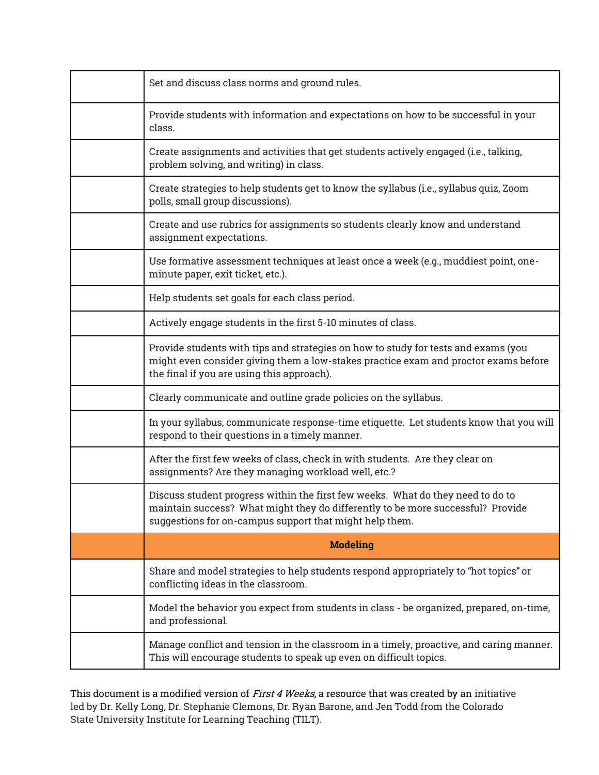| Set and discuss class norms and ground rules.                                                                                                                                                                                 |
|-------------------------------------------------------------------------------------------------------------------------------------------------------------------------------------------------------------------------------|
| Provide students with information and expectations on how to be successful in your<br>class.                                                                                                                                  |
| Create assignments and activities that get students actively engaged (i.e., talking,<br>problem solving, and writing) in class.                                                                                               |
| Create strategies to help students get to know the syllabus (i.e., syllabus quiz, Zoom<br>polls, small group discussions).                                                                                                    |
| Create and use rubrics for assignments so students clearly know and understand<br>assignment expectations.                                                                                                                    |
| Use formative assessment techniques at least once a week (e.g., muddiest point, one-<br>minute paper, exit ticket, etc.).                                                                                                     |
| Help students set goals for each class period.                                                                                                                                                                                |
| Actively engage students in the first 5-10 minutes of class.                                                                                                                                                                  |
| Provide students with tips and strategies on how to study for tests and exams (you<br>might even consider giving them a low-stakes practice exam and proctor exams before<br>the final if you are using this approach).       |
| Clearly communicate and outline grade policies on the syllabus.                                                                                                                                                               |
| In your syllabus, communicate response-time etiquette. Let students know that you will<br>respond to their questions in a timely manner.                                                                                      |
| After the first few weeks of class, check in with students. Are they clear on<br>assignments? Are they managing workload well, etc.?                                                                                          |
| Discuss student progress within the first few weeks. What do they need to do to<br>maintain success? What might they do differently to be more successful? Provide<br>suggestions for on-campus support that might help them. |
| <b>Modeling</b>                                                                                                                                                                                                               |
| Share and model strategies to help students respond appropriately to "hot topics" or<br>conflicting ideas in the classroom.                                                                                                   |
| Model the behavior you expect from students in class - be organized, prepared, on-time,<br>and professional.                                                                                                                  |
| Manage conflict and tension in the classroom in a timely, proactive, and caring manner.<br>This will encourage students to speak up even on difficult topics.                                                                 |

This document is a modified version of *First 4 Weeks*, a resource that was created by an initiative led by Dr. Kelly Long, Dr. Stephanie Clemons, Dr. Ryan Barone, and Jen Todd from the Colorado State University Institute for Learning Teaching (TILT).